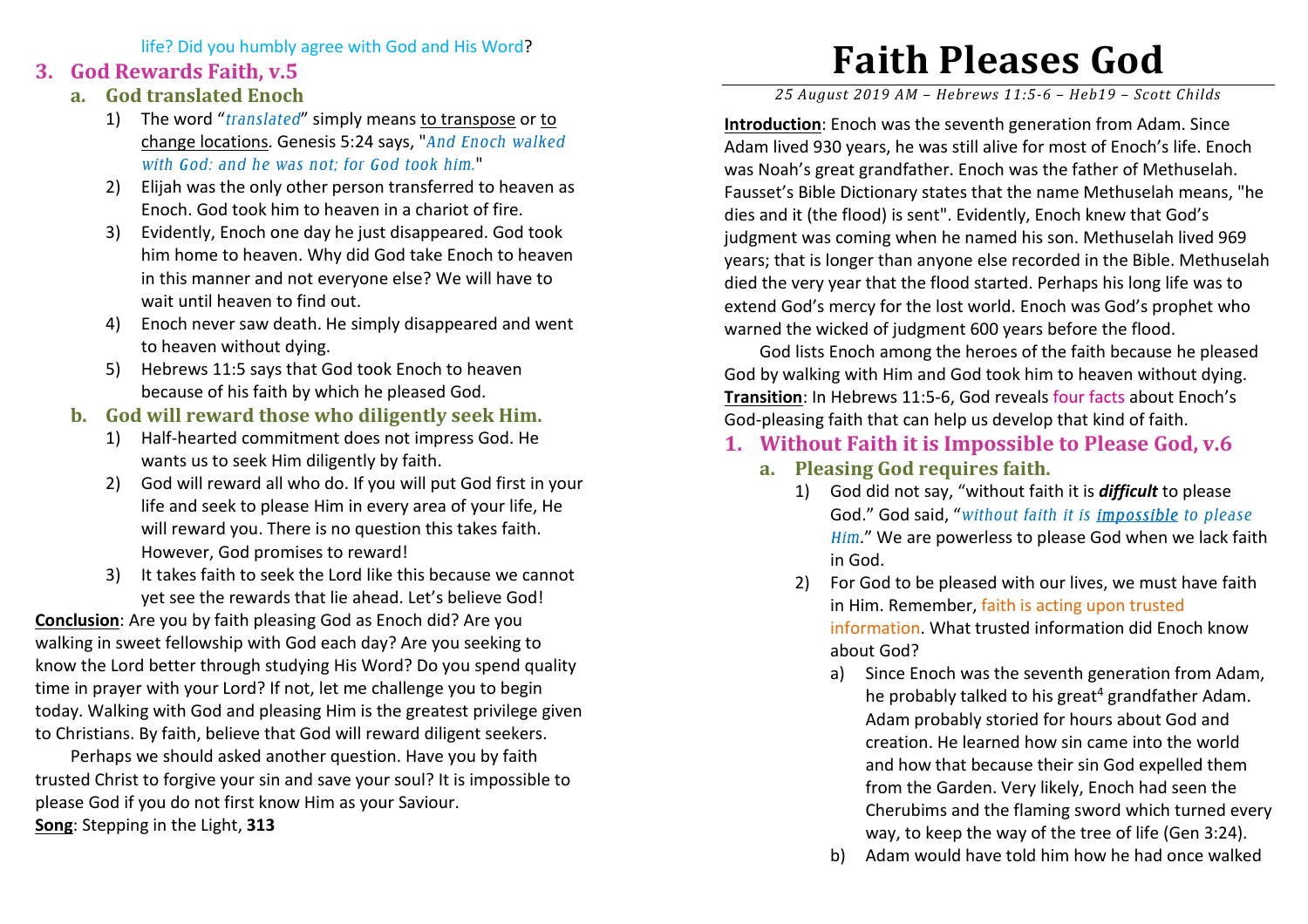life? Did you humbly agree with God and His Word?

## **3. God Rewards Faith, v.5**

- **a. God translated Enoch** 
	- 1) The word "*translated*" simply means to transpose or to change locations. Genesis 5:24 says, "*And Enoch walked with God: and he was not; for God took him.*"
	- 2) Elijah was the only other person transferred to heaven as Enoch. God took him to heaven in a chariot of fire.
	- 3) Evidently, Enoch one day he just disappeared. God took him home to heaven. Why did God take Enoch to heaven in this manner and not everyone else? We will have to wait until heaven to find out.
	- 4) Enoch never saw death. He simply disappeared and went to heaven without dying.
	- 5) Hebrews 11:5 says that God took Enoch to heaven because of his faith by which he pleased God.
- **b. God will reward those who diligently seek Him.** 
	- 1) Half-hearted commitment does not impress God. He wants us to seek Him diligently by faith.
	- 2) God will reward all who do. If you will put God first in your life and seek to please Him in every area of your life, He will reward you. There is no question this takes faith. However, God promises to reward!
	- 3) It takes faith to seek the Lord like this because we cannot yet see the rewards that lie ahead. Let's believe God!

**Conclusion**: Are you by faith pleasing God as Enoch did? Are you walking in sweet fellowship with God each day? Are you seeking to know the Lord better through studying His Word? Do you spend quality time in prayer with your Lord? If not, let me challenge you to begin today. Walking with God and pleasing Him is the greatest privilege given to Christians. By faith, believe that God will reward diligent seekers.

Perhaps we should asked another question. Have you by faith trusted Christ to forgive your sin and save your soul? It is impossible to please God if you do not first know Him as your Saviour. **Song**: Stepping in the Light, **313** 

## **Faith Pleases God**

*25 August 2019 AM – Hebrews 11:5-6 – Heb19 – Scott Childs* 

**Introduction**: Enoch was the seventh generation from Adam. Since Adam lived 930 years, he was still alive for most of Enoch's life. Enoch was Noah's great grandfather. Enoch was the father of Methuselah. Fausset's Bible Dictionary states that the name Methuselah means, "he dies and it (the flood) is sent". Evidently, Enoch knew that God's judgment was coming when he named his son. Methuselah lived 969 years; that is longer than anyone else recorded in the Bible. Methuselah died the very year that the flood started. Perhaps his long life was to extend God's mercy for the lost world. Enoch was God's prophet who warned the wicked of judgment 600 years before the flood.

 God lists Enoch among the heroes of the faith because he pleased God by walking with Him and God took him to heaven without dying. **Transition**: In Hebrews 11:5-6, God reveals four facts about Enoch's God-pleasing faith that can help us develop that kind of faith.

- **1. Without Faith it is Impossible to Please God, v.6** 
	- **a. Pleasing God requires faith.** 
		- 1) God did not say, "without faith it is *difficult* to please God." God said, "*without faith it is impossible to please Him*." We are powerless to please God when we lack faith in God.
		- 2) For God to be pleased with our lives, we must have faith in Him. Remember, faith is acting upon trusted information. What trusted information did Enoch know about God?
			- a) Since Enoch was the seventh generation from Adam, he probably talked to his great<sup>4</sup> grandfather Adam. Adam probably storied for hours about God and creation. He learned how sin came into the world and how that because their sin God expelled them from the Garden. Very likely, Enoch had seen the Cherubims and the flaming sword which turned every way, to keep the way of the tree of life (Gen 3:24).
			- b) Adam would have told him how he had once walked